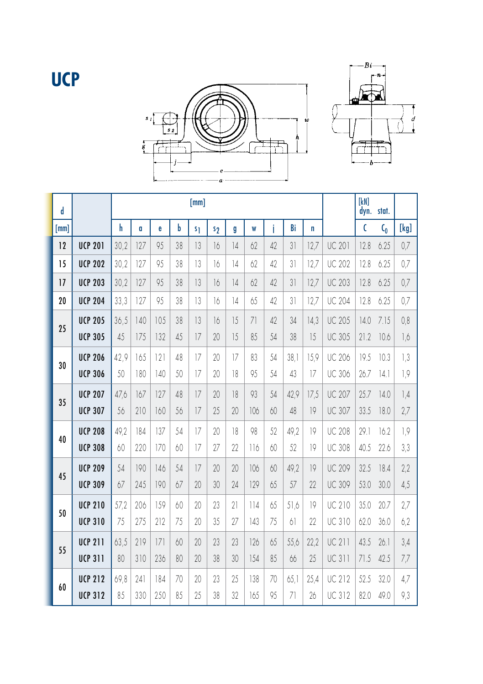## **UCP**





| d    |                | [mm] |     |     |    |                |                |               |     |    |      |      |               | [kN]<br>dyn. | stat. |      |
|------|----------------|------|-----|-----|----|----------------|----------------|---------------|-----|----|------|------|---------------|--------------|-------|------|
| [mm] |                | h    | a   | e   | b  | s <sub>1</sub> | s <sub>2</sub> | g             | W   | i  | Bi   | n    |               | $\mathsf{C}$ | $C_0$ | [kg] |
| 12   | <b>UCP 201</b> | 30,2 | 127 | 95  | 38 | 13             | 16             | 14            | 62  | 42 | 31   | 12,7 | <b>UC 201</b> | 12.8         | 6.25  | 0,7  |
| 15   | <b>UCP 202</b> | 30.2 | 127 | 95  | 38 | 13             | 16             | $\frac{1}{4}$ | 62  | 42 | 31   | 12.7 | <b>UC 202</b> | 12.8         | 6.25  | 0.7  |
| 17   | <b>UCP 203</b> | 30.2 | 127 | 95  | 38 | 13             | 16             | 4             | 62  | 42 | 31   | 12.7 | <b>UC 203</b> | 12.8         | 6.25  | 0.7  |
| 20   | <b>UCP 204</b> | 33,3 | 127 | 95  | 38 | 13             | 16             | 14            | 65  | 42 | 31   | 12.7 | <b>UC 204</b> | 12.8         | 6.25  | 0.7  |
| 25   | <b>UCP 205</b> | 36,5 | 140 | 105 | 38 | 13             | 16             | 15            | 71  | 42 | 34   | 14,3 | <b>UC 205</b> | 14.0         | 7.15  | 0,8  |
|      | <b>UCP 305</b> | 45   | 175 | 132 | 45 | 7              | 20             | 15            | 85  | 54 | 38   | 15   | <b>UC 305</b> | 21.2         | 10.6  | 1,6  |
| 30   | <b>UCP 206</b> | 42,9 | 165 | 2   | 48 | 17             | 20             | 17            | 83  | 54 | 38,1 | 15,9 | <b>UC 206</b> | 19.5         | 10.3  | 1,3  |
|      | <b>UCP 306</b> | 50   | 180 | 140 | 50 | 17             | 20             | 18            | 95  | 54 | 43   | 17   | <b>UC 306</b> | 26.7         | 4.1   | 1,9  |
| 35   | <b>UCP 207</b> | 47,6 | 167 | 127 | 48 | 17             | 20             | 18            | 93  | 54 | 42.9 | 17.5 | <b>UC 207</b> | 25.7         | 14.0  | 1,4  |
|      | <b>UCP 307</b> | 56   | 210 | 160 | 56 | 7              | 25             | 20            | 106 | 60 | 48   | 9    | <b>UC 307</b> | 33.5         | 18.0  | 2,7  |
| 40   | <b>UCP 208</b> | 49.2 | 184 | 137 | 54 | 17             | 20             | 18            | 98  | 52 | 49,2 | 9    | <b>UC 208</b> | 29.1         | 16.2  | 1,9  |
|      | <b>UCP 308</b> | 60   | 220 | 170 | 60 | 7              | 27             | 22            | 116 | 60 | 52   | 9    | <b>UC 308</b> | 40.5         | 22.6  | 3,3  |
| 45   | <b>UCP 209</b> | 54   | 190 | 146 | 54 | 7              | 20             | 20            | 106 | 60 | 49,2 | 9    | <b>UC 209</b> | 32.5         | 18.4  | 2,2  |
|      | <b>UCP 309</b> | 67   | 245 | 190 | 67 | 20             | 30             | 24            | 129 | 65 | 57   | 22   | <b>UC 309</b> | 53.0         | 30.0  | 4,5  |
| 50   | <b>UCP 210</b> | 57,2 | 206 | 159 | 60 | 20             | 23             | 21            | 114 | 65 | 51,6 | 9    | <b>UC 210</b> | 35.0         | 20.7  | 2,7  |
|      | <b>UCP 310</b> | 75   | 275 | 212 | 75 | 20             | 35             | 27            | 143 | 75 | 61   | 22   | UC 310        | 62.0         | 36.0  | 6,2  |
| 55   | <b>UCP 211</b> | 63.5 | 219 | 7   | 60 | 20             | 23             | 23            | 126 | 65 | 55.6 | 22.2 | <b>UC 211</b> | 43.5         | 26.1  | 3,4  |
|      | <b>UCP 311</b> | 80   | 310 | 236 | 80 | 20             | 38             | 30            | 154 | 85 | 66   | 25   | <b>UC 311</b> | 71.5         | 42.5  | 7,7  |
| 60   | <b>UCP 212</b> | 69.8 | 241 | 184 | 70 | 20             | 23             | 25            | 138 | 70 | 65.1 | 25.4 | <b>UC 212</b> | 52.5         | 32.0  | 4,7  |
|      | <b>UCP 312</b> | 85   | 330 | 250 | 85 | 25             | 38             | 32            | 165 | 95 | 71   | 26   | <b>UC 312</b> | 82.0         | 49.0  | 9,3  |